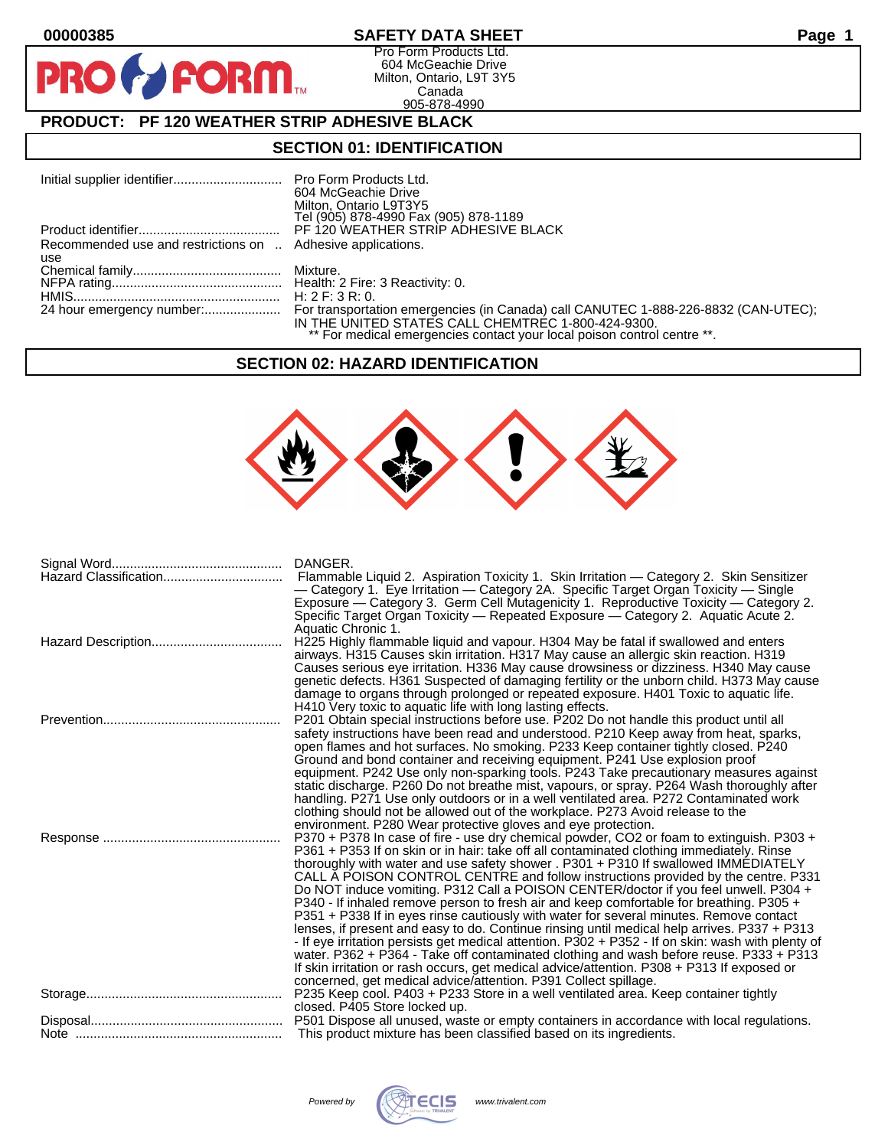$\bullet$ 

**PR** 

## **00000385 SAFETY DATA SHEET Page 1**

Pro Form Products Ltd. 604 McGeachie Drive Milton, Ontario, L9T 3Y5 Canada 905-878-4990

# **PRODUCT: PF 120 WEATHER STRIP ADHESIVE BLACK**

**FORM.** 

### **SECTION 01: IDENTIFICATION**

|                                                             | 604 McGeachie Drive                                                     |
|-------------------------------------------------------------|-------------------------------------------------------------------------|
|                                                             | Milton, Ontario L9T3Y5                                                  |
|                                                             | Tel (905) 878-4990 Fax (905) 878-1189                                   |
|                                                             | PF 120 WEATHER STRIP ADHESIVE BLACK                                     |
| Recommended use and restrictions on  Adhesive applications. |                                                                         |
| use                                                         |                                                                         |
|                                                             |                                                                         |
|                                                             |                                                                         |
|                                                             |                                                                         |
|                                                             | IN THE UNITED STATES CALL CHEMTREC 1-800-424-9300.                      |
|                                                             | ** For medical emergencies contact your local poison control centre **. |

### **SECTION 02: HAZARD IDENTIFICATION**



| DANGER.<br>Flammable Liquid 2. Aspiration Toxicity 1. Skin Irritation — Category 2. Skin Sensitizer<br>— Category 1. Eye Irritation — Category 2A. Specific Target Organ Toxicity — Single<br>Exposure - Category 3. Germ Cell Mutagenicity 1. Reproductive Toxicity - Category 2.<br>Specific Target Organ Toxicity — Repeated Exposure — Category 2. Aguatic Acute 2.<br>Aquatic Chronic 1.                                                                                                                                                                                                                                                                                                                                                                                                                                                                                                                                                                                                                                                                                                              |
|------------------------------------------------------------------------------------------------------------------------------------------------------------------------------------------------------------------------------------------------------------------------------------------------------------------------------------------------------------------------------------------------------------------------------------------------------------------------------------------------------------------------------------------------------------------------------------------------------------------------------------------------------------------------------------------------------------------------------------------------------------------------------------------------------------------------------------------------------------------------------------------------------------------------------------------------------------------------------------------------------------------------------------------------------------------------------------------------------------|
| H225 Highly flammable liquid and vapour. H304 May be fatal if swallowed and enters<br>airways. H315 Causes skin irritation. H317 May cause an allergic skin reaction. H319<br>Causes serious eye irritation. H336 May cause drowsiness or dizziness. H340 May cause<br>genetic defects. H361 Suspected of damaging fertility or the unborn child. H373 May cause<br>damage to organs through prolonged or repeated exposure. H401 Toxic to aquatic life.<br>H410 Very toxic to aquatic life with long lasting effects.                                                                                                                                                                                                                                                                                                                                                                                                                                                                                                                                                                                     |
| P201 Obtain special instructions before use. P202 Do not handle this product until all<br>safety instructions have been read and understood. P210 Keep away from heat, sparks,<br>open flames and hot surfaces. No smoking. P233 Keep container tightly closed. P240<br>Ground and bond container and receiving equipment. P241 Use explosion proof<br>equipment. P242 Use only non-sparking tools. P243 Take precautionary measures against<br>static discharge. P260 Do not breathe mist, vapours, or spray. P264 Wash thoroughly after<br>handling. P271 Use only outdoors or in a well ventilated area. P272 Contaminated work<br>clothing should not be allowed out of the workplace. P273 Avoid release to the<br>environment. P280 Wear protective gloves and eye protection.                                                                                                                                                                                                                                                                                                                       |
| P370 + P378 In case of fire - use dry chemical powder, CO2 or foam to extinguish. P303 +<br>P361 + P353 If on skin or in hair: take off all contaminated clothing immediately. Rinse<br>thoroughly with water and use safety shower . P301 + P310 If swallowed IMMEDIATELY<br>CALL A POISON CONTROL CENTRE and follow instructions provided by the centre. P331<br>Do NOT induce vomiting. P312 Call a POISON CENTER/doctor if you feel unwell. P304 +<br>P340 - If inhaled remove person to fresh air and keep comfortable for breathing. P305 +<br>P351 + P338 If in eyes rinse cautiously with water for several minutes. Remove contact<br>lenses, if present and easy to do. Continue rinsing until medical help arrives. P337 + P313<br>- If eye irritation persists get medical attention. P302 + P352 - If on skin: wash with plenty of<br>water. P362 + P364 - Take off contaminated clothing and wash before reuse. P333 + P313<br>If skin irritation or rash occurs, get medical advice/attention. P308 + P313 If exposed or<br>concerned, get medical advice/attention. P391 Collect spillage. |
| P235 Keep cool. P403 + P233 Store in a well ventilated area. Keep container tightly<br>closed. P405 Store locked up.                                                                                                                                                                                                                                                                                                                                                                                                                                                                                                                                                                                                                                                                                                                                                                                                                                                                                                                                                                                       |
| This product mixture has been classified based on its ingredients.                                                                                                                                                                                                                                                                                                                                                                                                                                                                                                                                                                                                                                                                                                                                                                                                                                                                                                                                                                                                                                         |

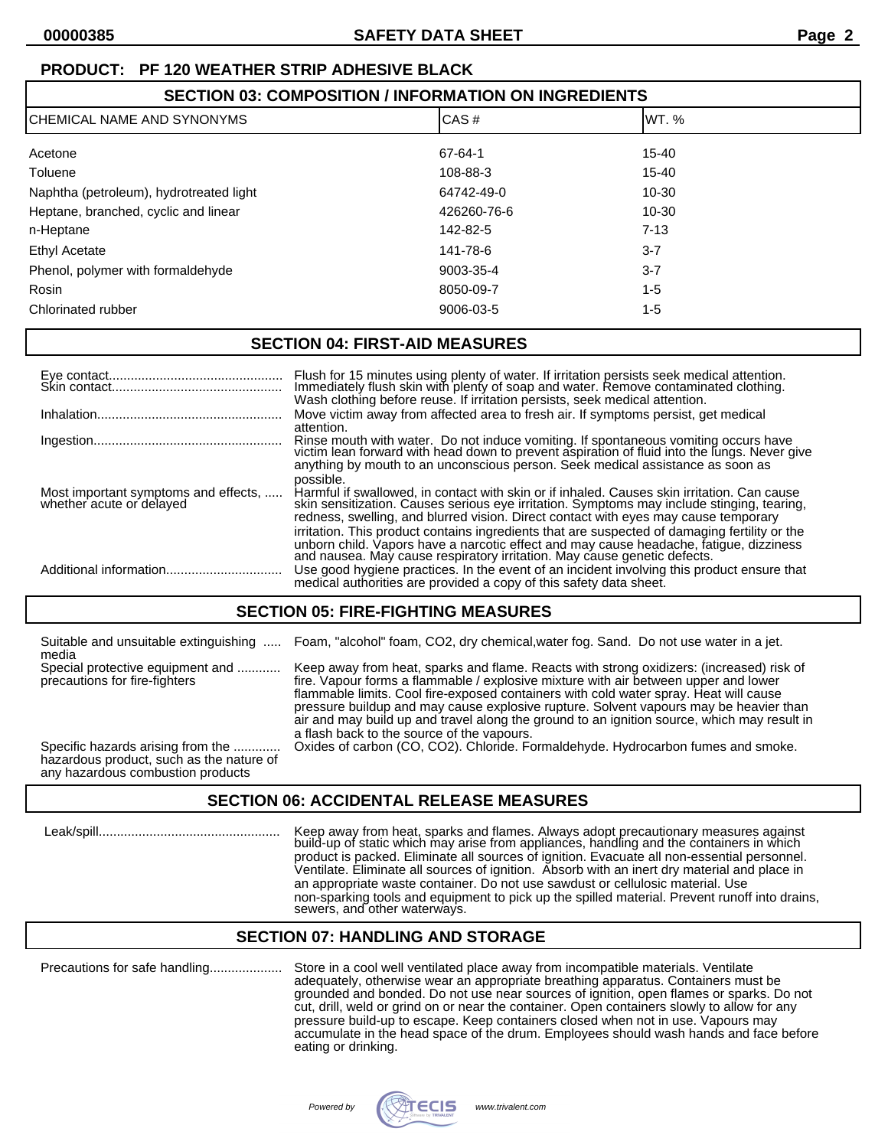# **PRODUCT: PF 120 WEATHER STRIP ADHESIVE BLACK**

| <b>SECTION 03: COMPOSITION / INFORMATION ON INGREDIENTS</b> |             |           |  |
|-------------------------------------------------------------|-------------|-----------|--|
| <b>CHEMICAL NAME AND SYNONYMS</b>                           | CAS#        | WT.%      |  |
| Acetone                                                     | 67-64-1     | $15 - 40$ |  |
| Toluene                                                     | 108-88-3    | $15 - 40$ |  |
| Naphtha (petroleum), hydrotreated light                     | 64742-49-0  | $10 - 30$ |  |
| Heptane, branched, cyclic and linear                        | 426260-76-6 | $10 - 30$ |  |
| n-Heptane                                                   | 142-82-5    | $7 - 13$  |  |
| <b>Ethyl Acetate</b>                                        | 141-78-6    | $3 - 7$   |  |
| Phenol, polymer with formaldehyde                           | 9003-35-4   | $3 - 7$   |  |
| Rosin                                                       | 8050-09-7   | $1 - 5$   |  |
| Chlorinated rubber                                          | 9006-03-5   | $1 - 5$   |  |

## **SECTION 04: FIRST-AID MEASURES**

|                                                                  | Flush for 15 minutes using plenty of water. If irritation persists seek medical attention. Immediately flush skin with plenty of soap and water. Remove contaminated clothing.<br>Wash clothing before reuse. If irritation persists, seek medical attention.                                                                                                                                                                                                               |
|------------------------------------------------------------------|-----------------------------------------------------------------------------------------------------------------------------------------------------------------------------------------------------------------------------------------------------------------------------------------------------------------------------------------------------------------------------------------------------------------------------------------------------------------------------|
|                                                                  | Move victim away from affected area to fresh air. If symptoms persist, get medical<br>attention.                                                                                                                                                                                                                                                                                                                                                                            |
|                                                                  | Rinse mouth with water. Do not induce vomiting. If spontaneous vomiting occurs have victim lean forward with head down to prevent aspiration of fluid into the lungs. Never give<br>anything by mouth to an unconscious person. Seek medical assistance as soon as<br>possible.                                                                                                                                                                                             |
| Most important symptoms and effects,<br>whether acute or delayed | Harmful if swallowed, in contact with skin or if inhaled. Causes skin irritation. Can cause<br>skin sensitization. Causes serious eye irritation. Symptoms may include stinging, tearing,<br>redness, swelling, and blurred vision. Direct contact with eyes may cause temporary<br>irritation. This product contains ingredients that are suspected of damaging fertility or the<br>unborn child. Vapors have a narcotic effect and may cause headache, fatigue, dizziness |
|                                                                  | and nausea. May cause respiratory irritation. May cause genetic defects.<br>Use good hygiene practices. In the event of an incident involving this product ensure that<br>medical authorities are provided a copy of this safety data sheet.                                                                                                                                                                                                                                |

# **SECTION 05: FIRE-FIGHTING MEASURES**

| Suitable and unsuitable extinguishing<br>media                                                                     | Foam, "alcohol" foam, CO2, dry chemical, water fog. Sand. Do not use water in a jet.                                                                                                                                                                                                                                                                                                                                                                                                                           |
|--------------------------------------------------------------------------------------------------------------------|----------------------------------------------------------------------------------------------------------------------------------------------------------------------------------------------------------------------------------------------------------------------------------------------------------------------------------------------------------------------------------------------------------------------------------------------------------------------------------------------------------------|
| Special protective equipment and<br>precautions for fire-fighters                                                  | Keep away from heat, sparks and flame. Reacts with strong oxidizers: (increased) risk of<br>fire. Vapour forms a flammable / explosive mixture with air between upper and lower<br>flammable limits. Cool fire-exposed containers with cold water spray. Heat will cause<br>pressure buildup and may cause explosive rupture. Solvent vapours may be heavier than<br>air and may build up and travel along the ground to an ignition source, which may result in<br>a flash back to the source of the vapours. |
| Specific hazards arising from the<br>hazardous product, such as the nature of<br>any hazardous combustion products | Oxides of carbon (CO, CO2). Chloride. Formaldehyde. Hydrocarbon fumes and smoke.                                                                                                                                                                                                                                                                                                                                                                                                                               |

# **SECTION 06: ACCIDENTAL RELEASE MEASURES**

 Leak/spill.................................................. Keep away from heat, sparks and flames. Always adopt precautionary measures against build-up of static which may arise from appliances, handling and the containers in which product is packed. Eliminate all sources of ignition. Evacuate all non-essential personnel. Ventilate. Eliminate all sources of ignition. Absorb with an inert dry material and place in an appropriate waste container. Do not use sawdust or cellulosic material. Use non-sparking tools and equipment to pick up the spilled material. Prevent runoff into drains, sewers, and other waterways.

## **SECTION 07: HANDLING AND STORAGE**

Precautions for safe handling.................... Store in a cool well ventilated place away from incompatible materials. Ventilate adequately, otherwise wear an appropriate breathing apparatus. Containers must be grounded and bonded. Do not use near sources of ignition, open flames or sparks. Do not cut, drill, weld or grind on or near the container. Open containers slowly to allow for any pressure build-up to escape. Keep containers closed when not in use. Vapours may accumulate in the head space of the drum. Employees should wash hands and face before eating or drinking.

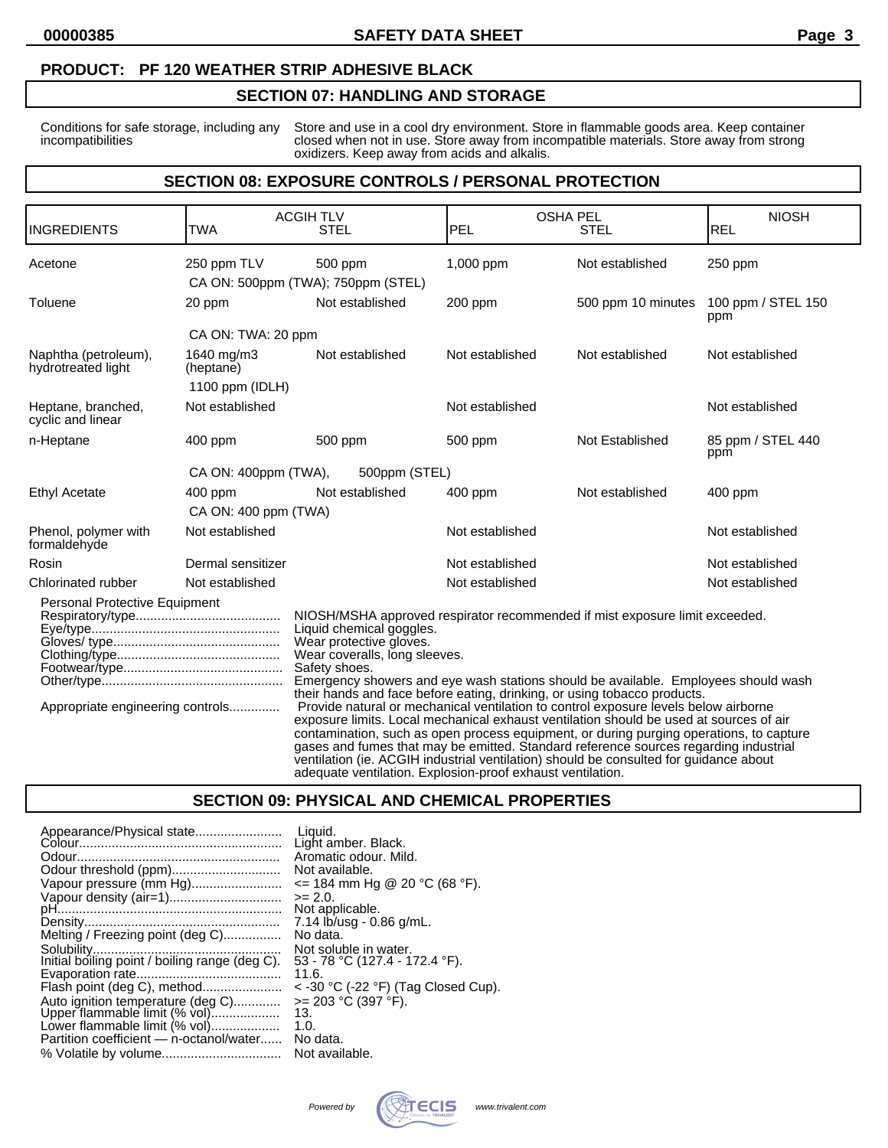#### **PRODUCT: PF 120 WEATHER STRIP ADHESIVE BLACK**

#### **SECTION 07: HANDLING AND STORAGE**

Conditions for safe storage, including any Store and use in a cool dry environment. Store in flammable goods area. Keep container incompatibilities closed when not in use. Store away from incompatible materials. Store away from strong oxidizers. Keep away from acids and alkalis.

### **SECTION 08: EXPOSURE CONTROLS / PERSONAL PROTECTION**

| <b>INGREDIENTS</b>                                                | TWA                               | <b>ACGIHTLV</b><br><b>STEL</b>                                                                                                                                                                                                                                                                                                                                                                                                                                                                                                                                                                                                                                                                                                                                                                                                                                                    | <b>OSHA PEL</b><br>PEL | <b>NIOSH</b><br><b>REL</b> |                           |  |
|-------------------------------------------------------------------|-----------------------------------|-----------------------------------------------------------------------------------------------------------------------------------------------------------------------------------------------------------------------------------------------------------------------------------------------------------------------------------------------------------------------------------------------------------------------------------------------------------------------------------------------------------------------------------------------------------------------------------------------------------------------------------------------------------------------------------------------------------------------------------------------------------------------------------------------------------------------------------------------------------------------------------|------------------------|----------------------------|---------------------------|--|
| Acetone                                                           | 250 ppm TLV                       | 500 ppm<br>CA ON: 500ppm (TWA); 750ppm (STEL)                                                                                                                                                                                                                                                                                                                                                                                                                                                                                                                                                                                                                                                                                                                                                                                                                                     | 1,000 ppm              | Not established            | $250$ ppm                 |  |
| Toluene                                                           | 20 ppm                            | Not established                                                                                                                                                                                                                                                                                                                                                                                                                                                                                                                                                                                                                                                                                                                                                                                                                                                                   | 200 ppm                | 500 ppm 10 minutes         | 100 ppm / STEL 150<br>ppm |  |
|                                                                   | CA ON: TWA: 20 ppm                |                                                                                                                                                                                                                                                                                                                                                                                                                                                                                                                                                                                                                                                                                                                                                                                                                                                                                   |                        |                            |                           |  |
| Naphtha (petroleum),<br>hydrotreated light                        | 1640 mg/m3<br>(heptane)           | Not established                                                                                                                                                                                                                                                                                                                                                                                                                                                                                                                                                                                                                                                                                                                                                                                                                                                                   | Not established        | Not established            | Not established           |  |
|                                                                   | 1100 ppm (IDLH)                   |                                                                                                                                                                                                                                                                                                                                                                                                                                                                                                                                                                                                                                                                                                                                                                                                                                                                                   |                        |                            |                           |  |
| Heptane, branched,<br>cyclic and linear                           | Not established                   |                                                                                                                                                                                                                                                                                                                                                                                                                                                                                                                                                                                                                                                                                                                                                                                                                                                                                   | Not established        |                            | Not established           |  |
| n-Heptane                                                         | $400$ ppm                         | 500 ppm                                                                                                                                                                                                                                                                                                                                                                                                                                                                                                                                                                                                                                                                                                                                                                                                                                                                           | 500 ppm                | Not Established            | 85 ppm / STEL 440<br>ppm  |  |
|                                                                   | CA ON: 400ppm (TWA),              | 500ppm (STEL)                                                                                                                                                                                                                                                                                                                                                                                                                                                                                                                                                                                                                                                                                                                                                                                                                                                                     |                        |                            |                           |  |
| Ethyl Acetate                                                     | $400$ ppm<br>CA ON: 400 ppm (TWA) | Not established                                                                                                                                                                                                                                                                                                                                                                                                                                                                                                                                                                                                                                                                                                                                                                                                                                                                   | $400$ ppm              | Not established            | $400$ ppm                 |  |
| Phenol, polymer with<br>formaldehyde                              | Not established                   |                                                                                                                                                                                                                                                                                                                                                                                                                                                                                                                                                                                                                                                                                                                                                                                                                                                                                   | Not established        |                            | Not established           |  |
| Rosin                                                             | Dermal sensitizer                 |                                                                                                                                                                                                                                                                                                                                                                                                                                                                                                                                                                                                                                                                                                                                                                                                                                                                                   | Not established        |                            | Not established           |  |
| Chlorinated rubber                                                | Not established                   |                                                                                                                                                                                                                                                                                                                                                                                                                                                                                                                                                                                                                                                                                                                                                                                                                                                                                   | Not established        | Not established            |                           |  |
| Personal Protective Equipment<br>Appropriate engineering controls |                                   | NIOSH/MSHA approved respirator recommended if mist exposure limit exceeded.<br>Liquid chemical goggles.<br>Wear protective gloves.<br>Wear coveralls, long sleeves.<br>Safety shoes.<br>Emergency showers and eye wash stations should be available. Employees should wash<br>their hands and face before eating, drinking, or using tobacco products.<br>Provide natural or mechanical ventilation to control exposure levels below airborne<br>exposure limits. Local mechanical exhaust ventilation should be used at sources of air<br>contamination, such as open process equipment, or during purging operations, to capture<br>gases and fumes that may be emitted. Standard reference sources regarding industrial<br>ventilation (ie. ACGIH industrial ventilation) should be consulted for guidance about<br>adequate ventilation. Explosion-proof exhaust ventilation. |                        |                            |                           |  |

#### **SECTION 09: PHYSICAL AND CHEMICAL PROPERTIES**

|                                                                    | Liauid.<br>Light amber. Black.<br>Aromatic odour, Mild.          |
|--------------------------------------------------------------------|------------------------------------------------------------------|
| Odour threshold (ppm)                                              | Not available.                                                   |
| Vapour pressure (mm Hg)                                            | $\le$ 184 mm Hg @ 20 °C (68 °F).                                 |
| Vapour density (air=1)                                             | $>= 2.0.$<br>Not applicable.                                     |
|                                                                    | 7.14 lb/usg - 0.86 g/mL.                                         |
| Melting / Freezing point (deg C)                                   | No data.                                                         |
| Initial boiling point / boiling range (deg C).                     | Not soluble in water.<br>53 - 78 °C (127.4 - 172.4 °F).<br>11.6. |
|                                                                    | $<$ -30 °C (-22 °F) (Tag Closed Cup).                            |
| Auto ignition temperature (deg C)<br>Upper flammable limit (% vol) | $>= 203 °C (397 °F).$<br>13.                                     |
| Lower flammable limit (% vol)                                      | 1.0.                                                             |
| Partition coefficient - n-octanol/water                            | No data.                                                         |
|                                                                    | Not available.                                                   |

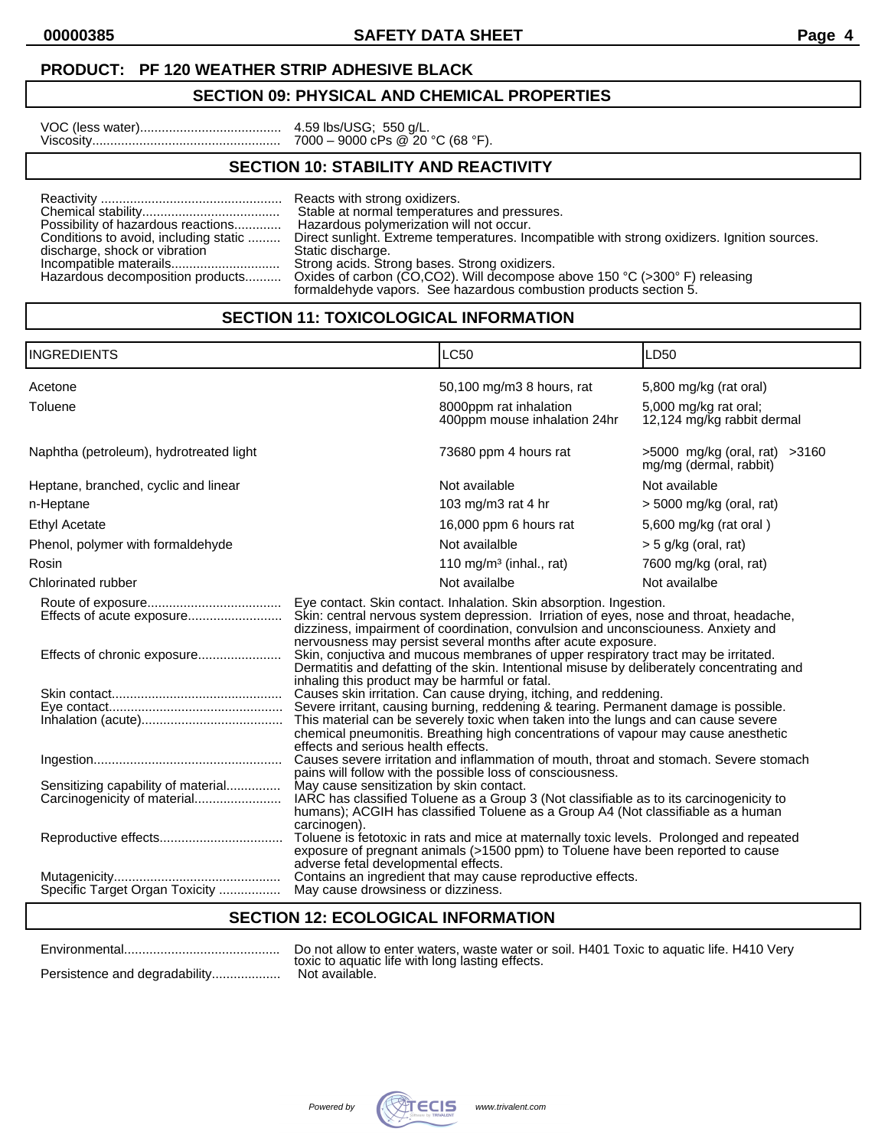**00000385 SAFETY DATA SHEET Page 4**

## **SECTION 09: PHYSICAL AND CHEMICAL PROPERTIES**

| VOC (less water) |  |  |  |  |  |  |  |
|------------------|--|--|--|--|--|--|--|
| Viscosity        |  |  |  |  |  |  |  |

VOC (less water)....................................... 4.59 lbs/USG; 550 g/L. Viscosity.................................................... 7000 – 9000 cPs @ 20 °C (68 °F).

# **SECTION 10: STABILITY AND REACTIVITY**

|                                       | Reacts with strong oxidizers.                                                                                                                                                    |
|---------------------------------------|----------------------------------------------------------------------------------------------------------------------------------------------------------------------------------|
|                                       | Stable at normal temperatures and pressures.                                                                                                                                     |
| Possibility of hazardous reactions    | Hazardous polymerization will not occur.                                                                                                                                         |
| Conditions to avoid, including static | Direct sunlight. Extreme temperatures. Incompatible with strong oxidizers. Ignition sources.                                                                                     |
| discharge, shock or vibration         | Static discharge.                                                                                                                                                                |
|                                       | Strong acids. Strong bases. Strong oxidizers.                                                                                                                                    |
|                                       | Hazardous decomposition products Oxides of carbon (CO,CO2). Will decompose above 150 °C (>300° F) releasing<br>formaldehyde vapors. See hazardous combustion products section 5. |

# **SECTION 11: TOXICOLOGICAL INFORMATION**

| <b>INGREDIENTS</b>                                                                                                               |                                                                                                                                                                                                                                                                                                                                                                                                                                                                                                                                                                                                                                                                                                                                                                                                                                                                                                                                                                                                                                                                                                                                                                                                                                                                                                                                                                                                                                                                                                                                                                                                                                  | LC50                                                   | LD <sub>50</sub>                                        |  |
|----------------------------------------------------------------------------------------------------------------------------------|----------------------------------------------------------------------------------------------------------------------------------------------------------------------------------------------------------------------------------------------------------------------------------------------------------------------------------------------------------------------------------------------------------------------------------------------------------------------------------------------------------------------------------------------------------------------------------------------------------------------------------------------------------------------------------------------------------------------------------------------------------------------------------------------------------------------------------------------------------------------------------------------------------------------------------------------------------------------------------------------------------------------------------------------------------------------------------------------------------------------------------------------------------------------------------------------------------------------------------------------------------------------------------------------------------------------------------------------------------------------------------------------------------------------------------------------------------------------------------------------------------------------------------------------------------------------------------------------------------------------------------|--------------------------------------------------------|---------------------------------------------------------|--|
| Acetone                                                                                                                          |                                                                                                                                                                                                                                                                                                                                                                                                                                                                                                                                                                                                                                                                                                                                                                                                                                                                                                                                                                                                                                                                                                                                                                                                                                                                                                                                                                                                                                                                                                                                                                                                                                  | 50,100 mg/m3 8 hours, rat                              | 5,800 mg/kg (rat oral)                                  |  |
| Toluene                                                                                                                          |                                                                                                                                                                                                                                                                                                                                                                                                                                                                                                                                                                                                                                                                                                                                                                                                                                                                                                                                                                                                                                                                                                                                                                                                                                                                                                                                                                                                                                                                                                                                                                                                                                  | 8000ppm rat inhalation<br>400ppm mouse inhalation 24hr | 5,000 mg/kg rat oral;<br>12,124 mg/kg rabbit dermal     |  |
| Naphtha (petroleum), hydrotreated light                                                                                          |                                                                                                                                                                                                                                                                                                                                                                                                                                                                                                                                                                                                                                                                                                                                                                                                                                                                                                                                                                                                                                                                                                                                                                                                                                                                                                                                                                                                                                                                                                                                                                                                                                  | 73680 ppm 4 hours rat                                  | >5000 mg/kg (oral, rat) >3160<br>mg/mg (dermal, rabbit) |  |
| Heptane, branched, cyclic and linear                                                                                             |                                                                                                                                                                                                                                                                                                                                                                                                                                                                                                                                                                                                                                                                                                                                                                                                                                                                                                                                                                                                                                                                                                                                                                                                                                                                                                                                                                                                                                                                                                                                                                                                                                  | Not available                                          | Not available                                           |  |
| n-Heptane                                                                                                                        |                                                                                                                                                                                                                                                                                                                                                                                                                                                                                                                                                                                                                                                                                                                                                                                                                                                                                                                                                                                                                                                                                                                                                                                                                                                                                                                                                                                                                                                                                                                                                                                                                                  | 103 mg/m3 rat 4 hr                                     | $>$ 5000 mg/kg (oral, rat)                              |  |
| <b>Ethyl Acetate</b>                                                                                                             |                                                                                                                                                                                                                                                                                                                                                                                                                                                                                                                                                                                                                                                                                                                                                                                                                                                                                                                                                                                                                                                                                                                                                                                                                                                                                                                                                                                                                                                                                                                                                                                                                                  | 16,000 ppm 6 hours rat                                 | 5,600 mg/kg (rat oral)                                  |  |
| Phenol, polymer with formaldehyde                                                                                                |                                                                                                                                                                                                                                                                                                                                                                                                                                                                                                                                                                                                                                                                                                                                                                                                                                                                                                                                                                                                                                                                                                                                                                                                                                                                                                                                                                                                                                                                                                                                                                                                                                  | Not availalble                                         | $>$ 5 g/kg (oral, rat)                                  |  |
| Rosin                                                                                                                            |                                                                                                                                                                                                                                                                                                                                                                                                                                                                                                                                                                                                                                                                                                                                                                                                                                                                                                                                                                                                                                                                                                                                                                                                                                                                                                                                                                                                                                                                                                                                                                                                                                  | 110 mg/m <sup>3</sup> (inhal., rat)                    | 7600 mg/kg (oral, rat)                                  |  |
| Chlorinated rubber                                                                                                               |                                                                                                                                                                                                                                                                                                                                                                                                                                                                                                                                                                                                                                                                                                                                                                                                                                                                                                                                                                                                                                                                                                                                                                                                                                                                                                                                                                                                                                                                                                                                                                                                                                  | Not availalbe                                          | Not availalbe                                           |  |
| Effects of acute exposure<br>Sensitizing capability of material<br>Carcinogenicity of material<br>Specific Target Organ Toxicity | Eye contact. Skin contact. Inhalation. Skin absorption. Ingestion.<br>Skin: central nervous system depression. Irriation of eyes, nose and throat, headache,<br>dizziness, impairment of coordination, convulsion and unconsciouness. Anxiety and<br>nervousness may persist several months after acute exposure.<br>Skin, conjuctiva and mucous membranes of upper respiratory tract may be irritated.<br>Dermatitis and defatting of the skin. Intentional misuse by deliberately concentrating and<br>inhaling this product may be harmful or fatal.<br>Causes skin irritation. Can cause drying, itching, and reddening.<br>Severe irritant, causing burning, reddening & tearing. Permanent damage is possible.<br>This material can be severely toxic when taken into the lungs and can cause severe<br>chemical pneumonitis. Breathing high concentrations of vapour may cause anesthetic<br>effects and serious health effects.<br>Causes severe irritation and inflammation of mouth, throat and stomach. Severe stomach<br>pains will follow with the possible loss of consciousness.<br>May cause sensitization by skin contact.<br>IARC has classified Toluene as a Group 3 (Not classifiable as to its carcinogenicity to<br>humans); ACGIH has classified Toluene as a Group A4 (Not classifiable as a human<br>carcinogen).<br>Toluene is fetotoxic in rats and mice at maternally toxic levels. Prolonged and repeated<br>exposure of pregnant animals (>1500 ppm) to Toluene have been reported to cause<br>adverse fetal developmental effects.<br>Contains an ingredient that may cause reproductive effects. |                                                        |                                                         |  |

# **SECTION 12: ECOLOGICAL INFORMATION**

| Do not allow to enter waters, waste water or soil. H401 Toxic to aquatic life. H410 Very<br>toxic to aquatic life with long lasting effects. |
|----------------------------------------------------------------------------------------------------------------------------------------------|
| Not available.                                                                                                                               |